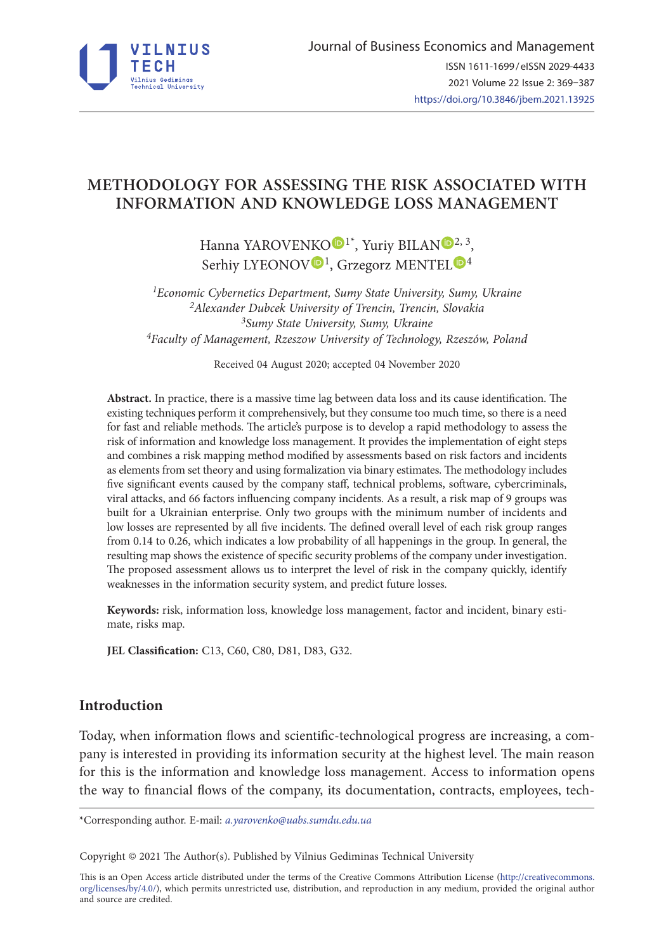

# **METHODOLOGY FOR ASSESSING THE RISK ASSOCIATED WITH INFORMATION AND KNOWLEDGE LOSS MANAGEMENT**

Hanna YAROVENKO<sup>D[1](https://orcid.org/0000-0002-8760-68351)\*</sup>, Yuriy BILA[N](https://orcid.org/0000-0003-0268-009X)<sup>D[2,](https://orcid.org/0000-0003-0268-009X2) 3</sup>, Serhiy LYEONO[V](https://orcid.org/0000-0001-5639-3008)<sup>D<sub>1</sub></sup>, Grzegorz MENTEL<sup>D[4](https://orcid.org/0000-0002-6371-1219)</sup>

*1Economic Cybernetics Department, Sumy State University, Sumy, Ukraine 2Alexander Dubcek University of Trencin, Trencin, Slovakia 3Sumy State University, Sumy, Ukraine 4Faculty of Management, Rzeszow University of Technology, Rzeszów, Poland*

Received 04 August 2020; accepted 04 November 2020

**Abstract.** In practice, there is a massive time lag between data loss and its cause identification. The existing techniques perform it comprehensively, but they consume too much time, so there is a need for fast and reliable methods. The article's purpose is to develop a rapid methodology to assess the risk of information and knowledge loss management. It provides the implementation of eight steps and combines a risk mapping method modified by assessments based on risk factors and incidents as elements from set theory and using formalization via binary estimates. The methodology includes five significant events caused by the company staff, technical problems, software, cybercriminals, viral attacks, and 66 factors influencing company incidents. As a result, a risk map of 9 groups was built for a Ukrainian enterprise. Only two groups with the minimum number of incidents and low losses are represented by all five incidents. The defined overall level of each risk group ranges from 0.14 to 0.26, which indicates a low probability of all happenings in the group. In general, the resulting map shows the existence of specific security problems of the company under investigation. The proposed assessment allows us to interpret the level of risk in the company quickly, identify weaknesses in the information security system, and predict future losses.

**Keywords:** risk, information loss, knowledge loss management, factor and incident, binary estimate, risks map.

**JEL Classification:** C13, C60, C80, D81, D83, G32.

# **Introduction**

Today, when information flows and scientific-technological progress are increasing, a company is interested in providing its information security at the highest level. The main reason for this is the information and knowledge loss management. Access to information opens the way to financial flows of the company, its documentation, contracts, employees, tech-

\*Corresponding author. E-mail: *a.yarovenko@uabs.sumdu.edu.ua*

Copyright © 2021 The Author(s). Published by Vilnius Gediminas Technical University

This is an Open Access article distributed under the terms of the Creative Commons Attribution License ([http://creativecommons.](http://dx.doi.org/10.1016/S0377-2217(03)00091-2) [org/licenses/by/4.0/\)](http://dx.doi.org/10.1016/S0377-2217(03)00091-2), which permits unrestricted use, distribution, and reproduction in any medium, provided the original author and source are credited.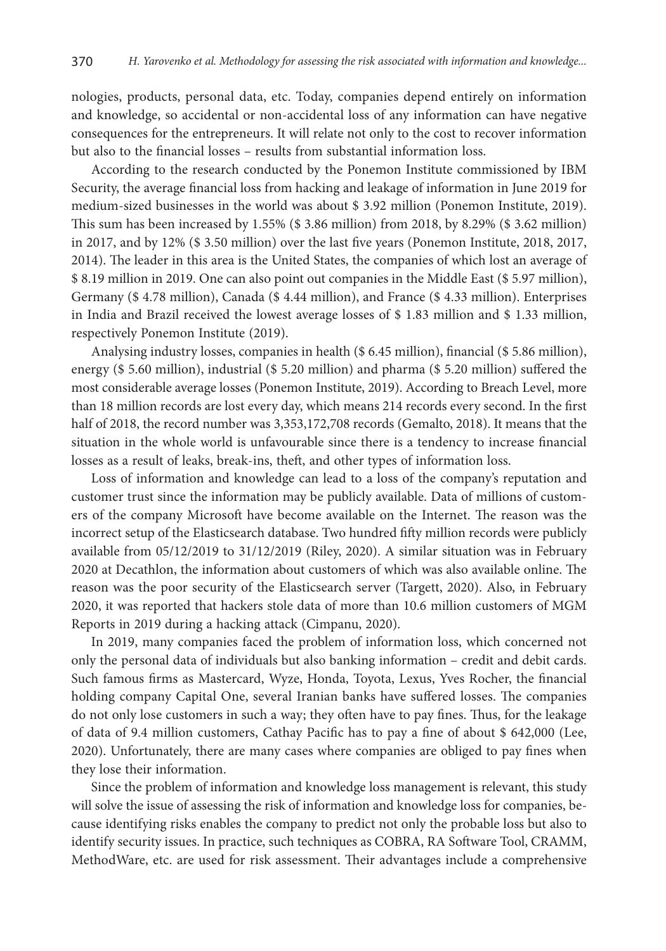nologies, products, personal data, etc. Today, companies depend entirely on information and knowledge, so accidental or non-accidental loss of any information can have negative consequences for the entrepreneurs. It will relate not only to the cost to recover information but also to the financial losses – results from substantial information loss.

According to the research conducted by the Ponemon Institute commissioned by IBM Security, the average financial loss from hacking and leakage of information in June 2019 for medium-sized businesses in the world was about \$ 3.92 million (Ponemon Institute, 2019). This sum has been increased by 1.55% (\$ 3.86 million) from 2018, by 8.29% (\$ 3.62 million) in 2017, and by 12% (\$ 3.50 million) over the last five years (Ponemon Institute, 2018, 2017, 2014). The leader in this area is the United States, the companies of which lost an average of \$ 8.19 million in 2019. One can also point out companies in the Middle East (\$ 5.97 million), Germany (\$ 4.78 million), Canada (\$ 4.44 million), and France (\$ 4.33 million). Enterprises in India and Brazil received the lowest average losses of \$ 1.83 million and \$ 1.33 million, respectively Ponemon Institute (2019).

Analysing industry losses, companies in health (\$ 6.45 million), financial (\$ 5.86 million), energy (\$ 5.60 million), industrial (\$ 5.20 million) and pharma (\$ 5.20 million) suffered the most considerable average losses (Ponemon Institute, 2019). According to Breach Level, more than 18 million records are lost every day, which means 214 records every second. In the first half of 2018, the record number was 3,353,172,708 records (Gemalto, 2018). It means that the situation in the whole world is unfavourable since there is a tendency to increase financial losses as a result of leaks, break-ins, theft, and other types of information loss.

Loss of information and knowledge can lead to a loss of the company's reputation and customer trust since the information may be publicly available. Data of millions of customers of the company Microsoft have become available on the Internet. The reason was the incorrect setup of the Elasticsearch database. Two hundred fifty million records were publicly available from 05/12/2019 to 31/12/2019 (Riley, 2020). A similar situation was in February 2020 at Decathlon, the information about customers of which was also available online. The reason was the poor security of the Elasticsearch server (Targett, 2020). Also, in February 2020, it was reported that hackers stole data of more than 10.6 million customers of MGM Reports in 2019 during a hacking attack (Cimpanu, 2020).

In 2019, many companies faced the problem of information loss, which concerned not only the personal data of individuals but also banking information – credit and debit cards. Such famous firms as Mastercard, Wyze, Honda, Toyota, Lexus, Yves Rocher, the financial holding company Capital One, several Iranian banks have suffered losses. The companies do not only lose customers in such a way; they often have to pay fines. Thus, for the leakage of data of 9.4 million customers, Cathay Pacific has to pay a fine of about \$ 642,000 (Lee, 2020). Unfortunately, there are many cases where companies are obliged to pay fines when they lose their information.

Since the problem of information and knowledge loss management is relevant, this study will solve the issue of assessing the risk of information and knowledge loss for companies, because identifying risks enables the company to predict not only the probable loss but also to identify security issues. In practice, such techniques as COBRA, RA Software Tool, CRAMM, MethodWare, etc. are used for risk assessment. Their advantages include a comprehensive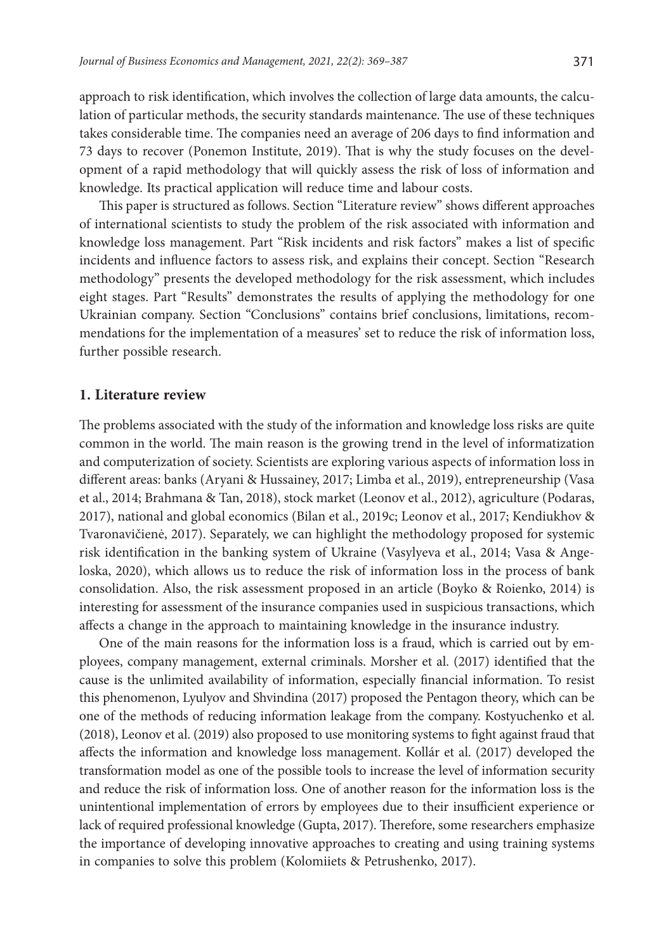approach to risk identification, which involves the collection of large data amounts, the calculation of particular methods, the security standards maintenance. The use of these techniques takes considerable time. The companies need an average of 206 days to find information and 73 days to recover (Ponemon Institute, 2019). That is why the study focuses on the development of a rapid methodology that will quickly assess the risk of loss of information and knowledge. Its practical application will reduce time and labour costs.

This paper is structured as follows. Section "Literature review" shows different approaches of international scientists to study the problem of the risk associated with information and knowledge loss management. Part "Risk incidents and risk factors" makes a list of specific incidents and influence factors to assess risk, and explains their concept. Section "Research methodology" presents the developed methodology for the risk assessment, which includes eight stages. Part "Results" demonstrates the results of applying the methodology for one Ukrainian company. Section "Conclusions" contains brief conclusions, limitations, recommendations for the implementation of a measures' set to reduce the risk of information loss, further possible research.

### **1. Literature review**

The problems associated with the study of the information and knowledge loss risks are quite common in the world. The main reason is the growing trend in the level of informatization and computerization of society. Scientists are exploring various aspects of information loss in different areas: banks (Aryani & Hussainey, 2017; Limba et al., 2019), entrepreneurship (Vasa et al., 2014; Brahmana & Tan, 2018), stock market (Leonov et al., 2012), agriculture (Podaras, 2017), national and global economics (Bilan et al., 2019c; Leonov et al., 2017; Kendiukhov & Tvaronavičienė, 2017). Separately, we can highlight the methodology proposed for systemic risk identification in the banking system of Ukraine (Vasylyeva et al., 2014; Vasa & Angeloska, 2020), which allows us to reduce the risk of information loss in the process of bank consolidation. Also, the risk assessment proposed in an article (Boyko & Roienko, 2014) is interesting for assessment of the insurance companies used in suspicious transactions, which affects a change in the approach to maintaining knowledge in the insurance industry.

One of the main reasons for the information loss is a fraud, which is carried out by employees, company management, external criminals. Morsher et al. (2017) identified that the cause is the unlimited availability of information, especially financial information. To resist this phenomenon, Lyulyov and Shvindina (2017) proposed the Pentagon theory, which can be one of the methods of reducing information leakage from the company. Kostyuchenko et al. (2018), Leonov et al. (2019) also proposed to use monitoring systems to fight against fraud that affects the information and knowledge loss management. Kollár et al. (2017) developed the transformation model as one of the possible tools to increase the level of information security and reduce the risk of information loss. One of another reason for the information loss is the unintentional implementation of errors by employees due to their insufficient experience or lack of required professional knowledge (Gupta, 2017). Therefore, some researchers emphasize the importance of developing innovative approaches to creating and using training systems in companies to solve this problem (Kolomiiets & Petrushenko, 2017).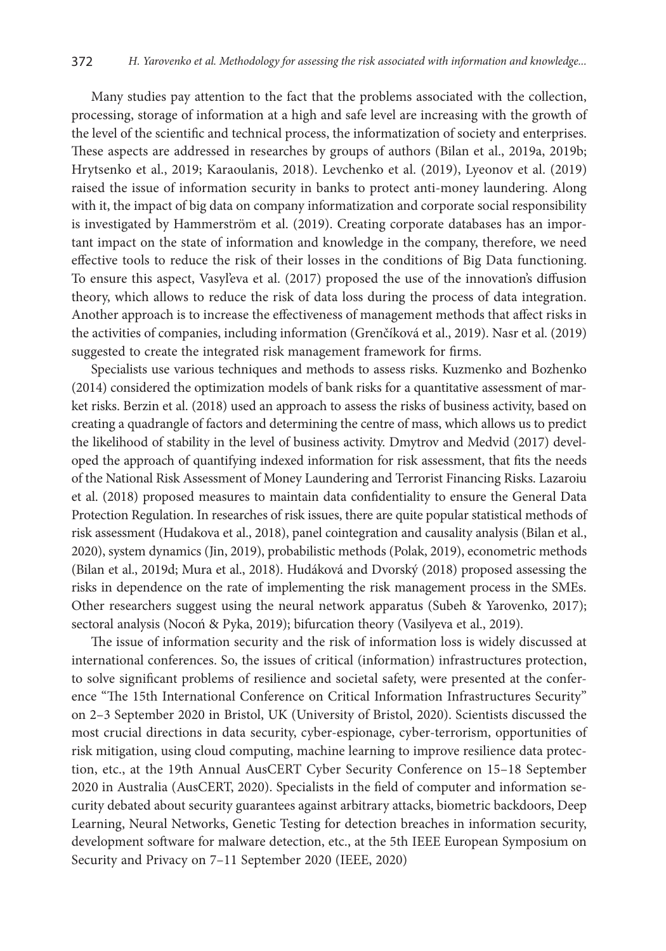Many studies pay attention to the fact that the problems associated with the collection, processing, storage of information at a high and safe level are increasing with the growth of the level of the scientific and technical process, the informatization of society and enterprises. These aspects are addressed in researches by groups of authors (Bilan et al., 2019a, 2019b; Hrytsenko et al., 2019; Karaoulanis, 2018). Levchenko et al. (2019), Lyeonov et al. (2019) raised the issue of information security in banks to protect anti-money laundering. Along with it, the impact of big data on company informatization and corporate social responsibility is investigated by Hammerström et al. (2019). Creating corporate databases has an important impact on the state of information and knowledge in the company, therefore, we need effective tools to reduce the risk of their losses in the conditions of Big Data functioning. To ensure this aspect, Vasyl'eva et al. (2017) proposed the use of the innovation's diffusion theory, which allows to reduce the risk of data loss during the process of data integration. Another approach is to increase the effectiveness of management methods that affect risks in the activities of companies, including information (Grenčíková et al., 2019). Nasr et al. (2019) suggested to create the integrated risk management framework for firms.

Specialists use various techniques and methods to assess risks. Kuzmenko and Bozhenko (2014) considered the optimization models of bank risks for a quantitative assessment of market risks. Berzin et al. (2018) used an approach to assess the risks of business activity, based on creating a quadrangle of factors and determining the centre of mass, which allows us to predict the likelihood of stability in the level of business activity. Dmytrov and Medvid (2017) developed the approach of quantifying indexed information for risk assessment, that fits the needs of the National Risk Assessment of Money Laundering and Terrorist Financing Risks. Lazaroiu et al. (2018) proposed measures to maintain data confidentiality to ensure the General Data Protection Regulation. In researches of risk issues, there are quite popular statistical methods of risk assessment (Hudakova et al., 2018), panel cointegration and causality analysis (Bilan et al., 2020), system dynamics (Jin, 2019), probabilistic methods (Polak, 2019), econometric methods (Bilan et al., 2019d; Mura et al., 2018). Hudáková and Dvorský (2018) proposed assessing the risks in dependence on the rate of implementing the risk management process in the SMEs. Other researchers suggest using the neural network apparatus (Subeh & Yarovenko, 2017); sectoral analysis (Nocoń & Pyka, 2019); bifurcation theory (Vasilyeva et al., 2019).

The issue of information security and the risk of information loss is widely discussed at international conferences. So, the issues of critical (information) infrastructures protection, to solve significant problems of resilience and societal safety, were presented at the conference "The 15th International Conference on Critical Information Infrastructures Security" on 2–3 September 2020 in Bristol, UK (University of Bristol, 2020). Scientists discussed the most crucial directions in data security, cyber-espionage, cyber-terrorism, opportunities of risk mitigation, using cloud computing, machine learning to improve resilience data protection, etc., at the 19th Annual AusCERT Cyber Security Conference on 15–18 September 2020 in Australia (AusCERT, 2020). Specialists in the field of computer and information security debated about security guarantees against arbitrary attacks, biometric backdoors, Deep Learning, Neural Networks, Genetic Testing for detection breaches in information security, development software for malware detection, etc., at the 5th IEEE European Symposium on Security and Privacy on 7–11 September 2020 (IEEE, 2020)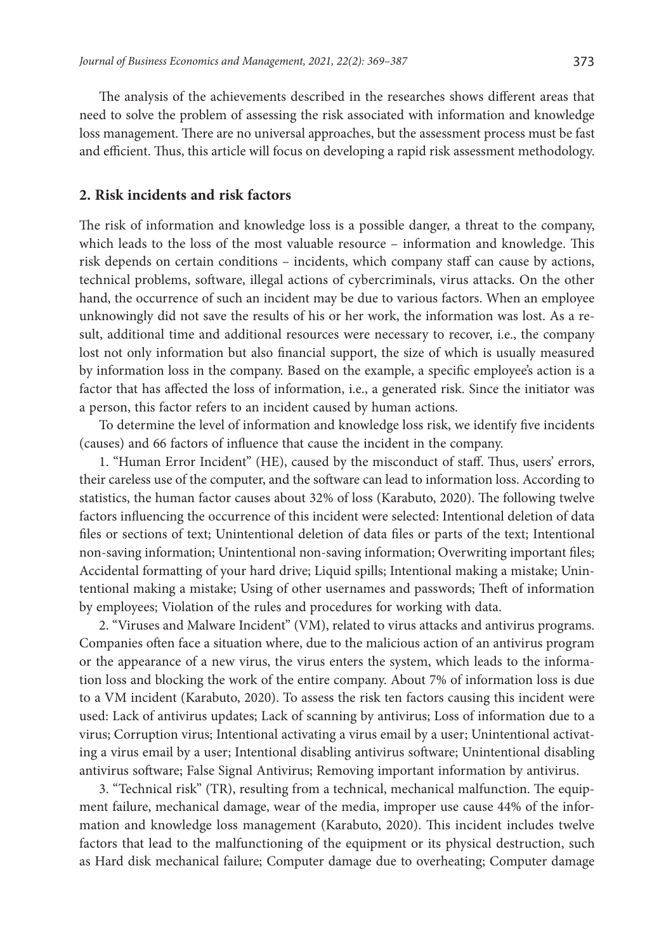The analysis of the achievements described in the researches shows different areas that need to solve the problem of assessing the risk associated with information and knowledge loss management. There are no universal approaches, but the assessment process must be fast and efficient. Thus, this article will focus on developing a rapid risk assessment methodology.

## **2. Risk incidents and risk factors**

The risk of information and knowledge loss is a possible danger, a threat to the company, which leads to the loss of the most valuable resource – information and knowledge. This risk depends on certain conditions – incidents, which company staff can cause by actions, technical problems, software, illegal actions of cybercriminals, virus attacks. On the other hand, the occurrence of such an incident may be due to various factors. When an employee unknowingly did not save the results of his or her work, the information was lost. As a result, additional time and additional resources were necessary to recover, i.e., the company lost not only information but also financial support, the size of which is usually measured by information loss in the company. Based on the example, a specific employee's action is a factor that has affected the loss of information, i.e., a generated risk. Since the initiator was a person, this factor refers to an incident caused by human actions.

To determine the level of information and knowledge loss risk, we identify five incidents (causes) and 66 factors of influence that cause the incident in the company.

1. "Human Error Incident" (HE), caused by the misconduct of staff. Thus, users' errors, their careless use of the computer, and the software can lead to information loss. According to statistics, the human factor causes about 32% of loss (Karabuto, 2020). The following twelve factors influencing the occurrence of this incident were selected: Intentional deletion of data files or sections of text; Unintentional deletion of data files or parts of the text; Intentional non-saving information; Unintentional non-saving information; Overwriting important files; Accidental formatting of your hard drive; Liquid spills; Intentional making a mistake; Unintentional making a mistake; Using of other usernames and passwords; Theft of information by employees; Violation of the rules and procedures for working with data.

2. "Viruses and Malware Incident" (VM), related to virus attacks and antivirus programs. Companies often face a situation where, due to the malicious action of an antivirus program or the appearance of a new virus, the virus enters the system, which leads to the information loss and blocking the work of the entire company. About 7% of information loss is due to a VM incident (Karabuto, 2020). To assess the risk ten factors causing this incident were used: Lack of antivirus updates; Lack of scanning by antivirus; Loss of information due to a virus; Corruption virus; Intentional activating a virus email by a user; Unintentional activating a virus email by a user; Intentional disabling antivirus software; Unintentional disabling antivirus software; False Signal Antivirus; Removing important information by antivirus.

3. "Technical risk" (TR), resulting from a technical, mechanical malfunction. The equipment failure, mechanical damage, wear of the media, improper use cause 44% of the information and knowledge loss management (Karabuto, 2020). This incident includes twelve factors that lead to the malfunctioning of the equipment or its physical destruction, such as Hard disk mechanical failure; Computer damage due to overheating; Computer damage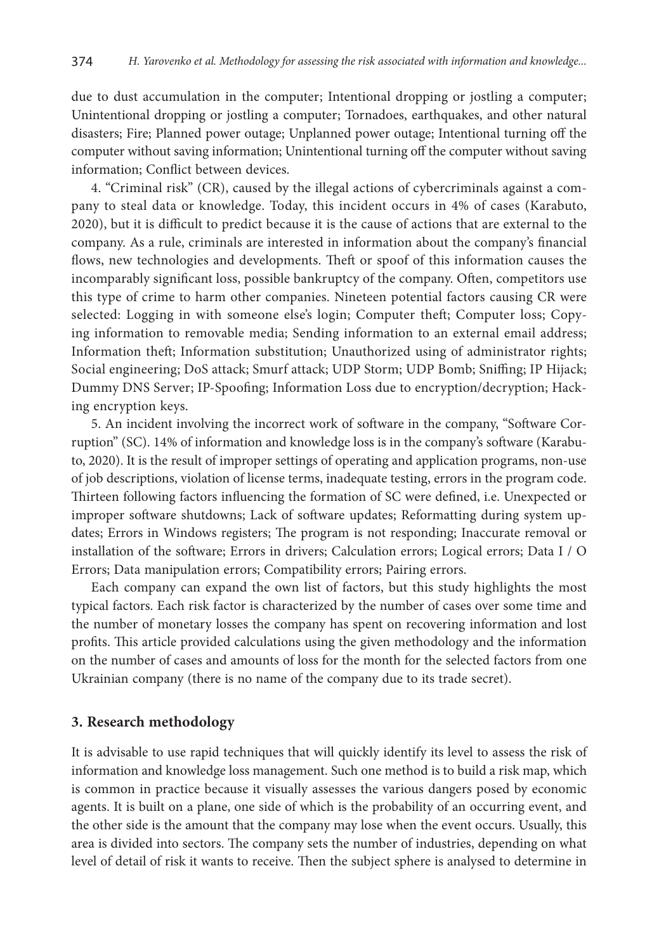due to dust accumulation in the computer; Intentional dropping or jostling a computer; Unintentional dropping or jostling a computer; Tornadoes, earthquakes, and other natural disasters; Fire; Planned power outage; Unplanned power outage; Intentional turning off the computer without saving information; Unintentional turning off the computer without saving information; Conflict between devices.

4. "Criminal risk" (CR), caused by the illegal actions of cybercriminals against a company to steal data or knowledge. Today, this incident occurs in 4% of cases (Karabuto, 2020), but it is difficult to predict because it is the cause of actions that are external to the company. As a rule, criminals are interested in information about the company's financial flows, new technologies and developments. Theft or spoof of this information causes the incomparably significant loss, possible bankruptcy of the company. Often, competitors use this type of crime to harm other companies. Nineteen potential factors causing CR were selected: Logging in with someone else's login; Computer theft; Computer loss; Copying information to removable media; Sending information to an external email address; Information theft; Information substitution; Unauthorized using of administrator rights; Social engineering; DoS attack; Smurf attack; UDP Storm; UDP Bomb; Sniffing; IP Hijack; Dummy DNS Server; IP-Spoofing; Information Loss due to encryption/decryption; Hacking encryption keys.

5. An incident involving the incorrect work of software in the company, "Software Corruption" (SC). 14% of information and knowledge loss is in the company's software (Karabuto, 2020). It is the result of improper settings of operating and application programs, non-use of job descriptions, violation of license terms, inadequate testing, errors in the program code. Thirteen following factors influencing the formation of SC were defined, i.e. Unexpected or improper software shutdowns; Lack of software updates; Reformatting during system updates; Errors in Windows registers; The program is not responding; Inaccurate removal or installation of the software; Errors in drivers; Calculation errors; Logical errors; Data I / O Errors; Data manipulation errors; Compatibility errors; Pairing errors.

Each company can expand the own list of factors, but this study highlights the most typical factors. Each risk factor is characterized by the number of cases over some time and the number of monetary losses the company has spent on recovering information and lost profits. This article provided calculations using the given methodology and the information on the number of cases and amounts of loss for the month for the selected factors from one Ukrainian company (there is no name of the company due to its trade secret).

## **3. Research methodology**

It is advisable to use rapid techniques that will quickly identify its level to assess the risk of information and knowledge loss management. Such one method is to build a risk map, which is common in practice because it visually assesses the various dangers posed by economic agents. It is built on a plane, one side of which is the probability of an occurring event, and the other side is the amount that the company may lose when the event occurs. Usually, this area is divided into sectors. The company sets the number of industries, depending on what level of detail of risk it wants to receive. Then the subject sphere is analysed to determine in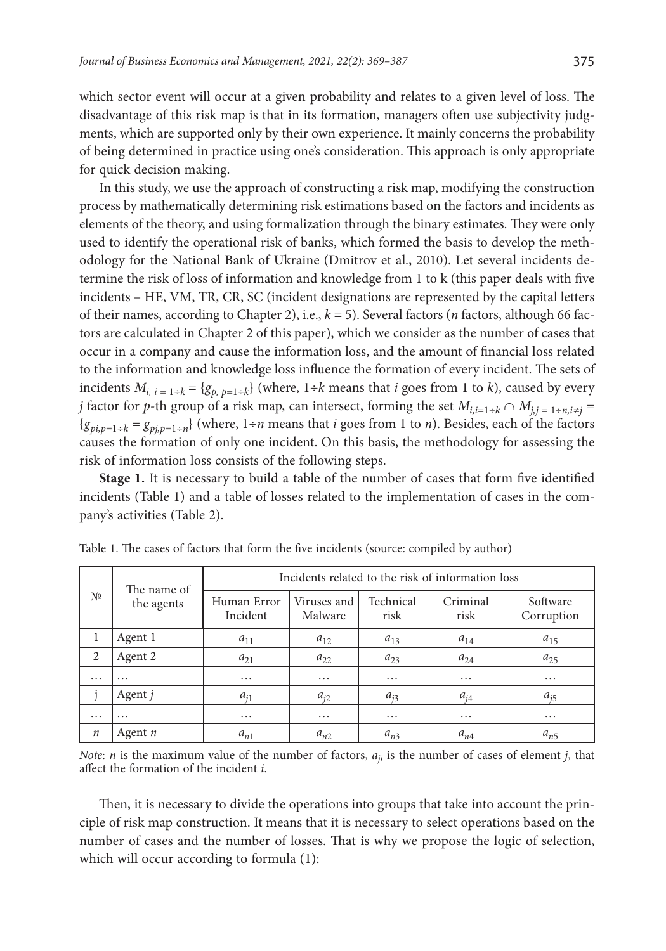which sector event will occur at a given probability and relates to a given level of loss. The disadvantage of this risk map is that in its formation, managers often use subjectivity judgments, which are supported only by their own experience. It mainly concerns the probability of being determined in practice using one's consideration. This approach is only appropriate for quick decision making.

In this study, we use the approach of constructing a risk map, modifying the construction process by mathematically determining risk estimations based on the factors and incidents as elements of the theory, and using formalization through the binary estimates. They were only used to identify the operational risk of banks, which formed the basis to develop the methodology for the National Bank of Ukraine (Dmitrov et al., 2010). Let several incidents determine the risk of loss of information and knowledge from 1 to k (this paper deals with five incidents – HE, VM, TR, CR, SC (incident designations are represented by the capital letters of their names, according to Chapter 2), i.e., *k* = 5). Several factors (*n* factors, although 66 factors are calculated in Chapter 2 of this paper), which we consider as the number of cases that occur in a company and cause the information loss, and the amount of financial loss related to the information and knowledge loss influence the formation of every incident. The sets of incidents  $M_{i, i} = 1+k} = \{g_{p, p=1+k}\}\$  (where,  $1+k$  means that *i* goes from 1 to *k*), caused by every *j* factor for *p*-th group of a risk map, can intersect, forming the set  $M_{i,i=1+k} \cap M_{i,i=1+n,i\neq i}$  ${g_{pi,p=1+k} = g_{pi,p=1+n}}$  (where, 1÷*n* means that *i* goes from 1 to *n*). Besides, each of the factors causes the formation of only one incident. On this basis, the methodology for assessing the risk of information loss consists of the following steps.

**Stage 1.** It is necessary to build a table of the number of cases that form five identified incidents (Table 1) and a table of losses related to the implementation of cases in the company's activities (Table 2).

| N <sup>0</sup>   | The name of<br>the agents | Incidents related to the risk of information loss |                        |                   |                  |                        |  |
|------------------|---------------------------|---------------------------------------------------|------------------------|-------------------|------------------|------------------------|--|
|                  |                           | Human Error<br>Incident                           | Viruses and<br>Malware | Technical<br>risk | Criminal<br>risk | Software<br>Corruption |  |
| 1                | Agent 1                   | $a_{11}$                                          | $a_{12}$               | $a_{13}$          | $a_{14}$         | $a_{15}$               |  |
| 2                | Agent 2                   | $a_{21}$                                          | $a_{22}$               | $a_{23}$          | $a_{24}$         | $a_{25}$               |  |
| $\cdots$         | $\cdots$                  | .                                                 | $\cdots$               | $\cdot\cdot\cdot$ | $\cdots$         | .                      |  |
|                  | Agent j                   | $a_{i1}$                                          | $a_{i2}$               | $a_{i3}$          | $a_{i4}$         | $a_{i5}$               |  |
| $\cdots$         | $\cdots$                  | .                                                 | $\cdots$               | $\cdots$          | $\cdots$         | .                      |  |
| $\boldsymbol{n}$ | Agent $n$                 | $a_{n1}$                                          | $a_{n2}$               | $a_{n3}$          | $a_{n4}$         | $a_{n5}$               |  |

Table 1. The cases of factors that form the five incidents (source: compiled by author)

*Note*: *n* is the maximum value of the number of factors, *aji* is the number of cases of element *j*, that affect the formation of the incident *i*.

Then, it is necessary to divide the operations into groups that take into account the principle of risk map construction. It means that it is necessary to select operations based on the number of cases and the number of losses. That is why we propose the logic of selection, which will occur according to formula (1):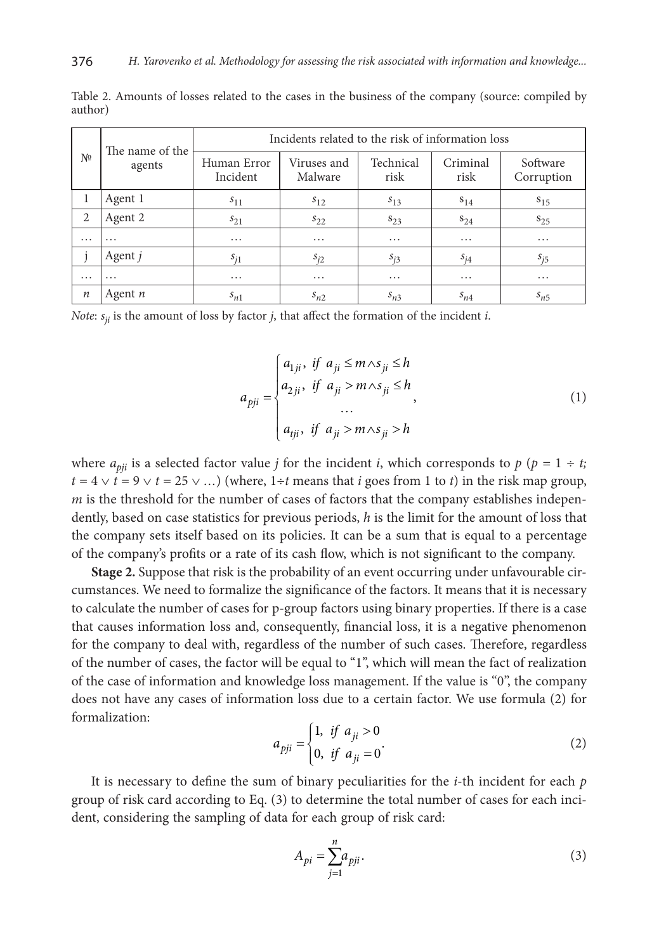| N <sup>0</sup>   | The name of the<br>agents | Incidents related to the risk of information loss |                        |                   |                  |                        |  |
|------------------|---------------------------|---------------------------------------------------|------------------------|-------------------|------------------|------------------------|--|
|                  |                           | Human Error<br>Incident                           | Viruses and<br>Malware | Technical<br>risk | Criminal<br>risk | Software<br>Corruption |  |
| 1                | Agent 1                   | $s_{11}$                                          | $s_{12}$               | $s_{13}$          | $s_{14}$         | $s_{15}$               |  |
| 2                | Agent 2                   | $s_{21}$                                          | $s_{22}$               | $S_{2,3}$         | $S_{24}$         | $S_{25}$               |  |
| $\cdots$         | $\cdots$                  | $\cdots$                                          | $\cdots$               | $\cdots$          | .                | $\cdots$               |  |
|                  | Agent j                   | $s_{i1}$                                          | $s_{i2}$               | $s_{i3}$          | $s_{i4}$         | $s_{i5}$               |  |
| $\cdots$         | $\cdots$                  | $\cdots$                                          | $\cdots$               | $\cdots$          | .                | $\cdots$               |  |
| $\boldsymbol{n}$ | Agent $n$                 | $s_{n1}$                                          | $s_{n2}$               | $s_{n3}$          | $s_{n4}$         | $s_{n5}$               |  |

Table 2. Amounts of losses related to the cases in the business of the company (source: compiled by author)

*Note*:  $s_{ii}$  is the amount of loss by factor *j*, that affect the formation of the incident *i*.

$$
a_{pji} = \begin{cases} a_{1ji}, & \text{if } a_{ji} \le m \land s_{ji} \le h \\ a_{2ji}, & \text{if } a_{ji} > m \land s_{ji} \le h \\ \dots \\ a_{tji}, & \text{if } a_{ji} > m \land s_{ji} > h \end{cases}
$$
 (1)

where  $a_{\text{ni}}$  is a selected factor value *j* for the incident *i*, which corresponds to  $p$  ( $p = 1 \div t$ ;  $t = 4 \vee t = 9 \vee t = 25 \vee \dots$ ) (where, 1÷*t* means that *i* goes from 1 to *t*) in the risk map group, *m* is the threshold for the number of cases of factors that the company establishes independently, based on case statistics for previous periods, *h* is the limit for the amount of loss that the company sets itself based on its policies. It can be a sum that is equal to a percentage of the company's profits or a rate of its cash flow, which is not significant to the company.

**Stage 2.** Suppose that risk is the probability of an event occurring under unfavourable circumstances. We need to formalize the significance of the factors. It means that it is necessary to calculate the number of cases for p-group factors using binary properties. If there is a case that causes information loss and, consequently, financial loss, it is a negative phenomenon for the company to deal with, regardless of the number of such cases. Therefore, regardless of the number of cases, the factor will be equal to "1", which will mean the fact of realization of the case of information and knowledge loss management. If the value is "0", the company does not have any cases of information loss due to a certain factor. We use formula (2) for formalization:

$$
a_{pji} = \begin{cases} 1, & \text{if } a_{ji} > 0 \\ 0, & \text{if } a_{ji} = 0 \end{cases}
$$
 (2)

It is necessary to define the sum of binary peculiarities for the *i*-th incident for each *p* group of risk card according to Eq. (3) to determine the total number of cases for each incident, considering the sampling of data for each group of risk card:

$$
A_{pi} = \sum_{j=1}^{n} a_{pi}.
$$
\n<sup>(3)</sup>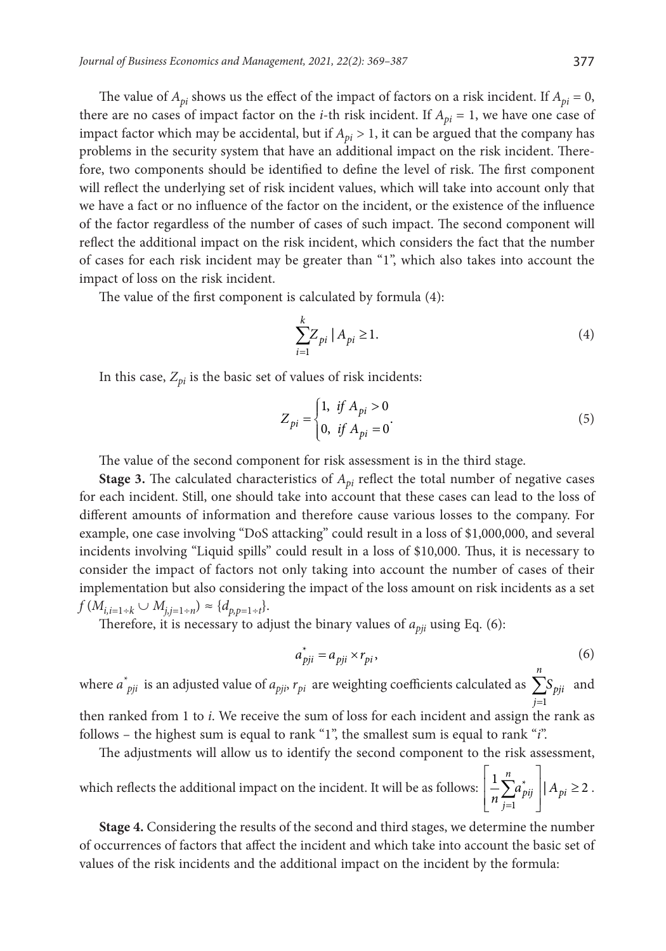The value of  $A_{pi}$  shows us the effect of the impact of factors on a risk incident. If  $A_{pi} = 0$ , there are no cases of impact factor on the *i*-th risk incident. If  $A_{pi} = 1$ , we have one case of impact factor which may be accidental, but if  $A_{pi} > 1$ , it can be argued that the company has problems in the security system that have an additional impact on the risk incident. Therefore, two components should be identified to define the level of risk. The first component will reflect the underlying set of risk incident values, which will take into account only that we have a fact or no influence of the factor on the incident, or the existence of the influence of the factor regardless of the number of cases of such impact. The second component will reflect the additional impact on the risk incident, which considers the fact that the number of cases for each risk incident may be greater than "1", which also takes into account the impact of loss on the risk incident.

The value of the first component is calculated by formula (4):

$$
\sum_{i=1}^{k} Z_{pi} | A_{pi} \ge 1.
$$
\n(4)

In this case,  $Z_{pi}$  is the basic set of values of risk incidents:

$$
Z_{pi} = \begin{cases} 1, & \text{if } A_{pi} > 0 \\ 0, & \text{if } A_{pi} = 0 \end{cases}
$$
 (5)

The value of the second component for risk assessment is in the third stage.

**Stage 3.** The calculated characteristics of  $A_{pi}$  reflect the total number of negative cases for each incident. Still, one should take into account that these cases can lead to the loss of different amounts of information and therefore cause various losses to the company. For example, one case involving "DoS attacking" could result in a loss of \$1,000,000, and several incidents involving "Liquid spills" could result in a loss of \$10,000. Thus, it is necessary to consider the impact of factors not only taking into account the number of cases of their implementation but also considering the impact of the loss amount on risk incidents as a set  $f(M_{i,i=1\div k} \cup M_{j,i=1\div n}) \approx \{d_{p,p=1\div t}\}.$ 

Therefore, it is necessary to adjust the binary values of  $a_{\text{bii}}$  using Eq. (6):

$$
a_{pji}^* = a_{pji} \times r_{pi},\tag{6}
$$

where  $a^*_{pi}$  is an adjusted value of  $a_{pi}$ ,  $r_{pi}$  are weighting coefficients calculated as  $\sum_{j=1}$ 1 *n pji j S* and then ranked from 1 to *i*. We receive the sum of loss for each incident and assign the rank as follows – the highest sum is equal to rank "1", the smallest sum is equal to rank "*i*".

The adjustments will allow us to identify the second component to the risk assessment, which reflects the additional impact on the incident. It will be as follows: =  $\begin{array}{ccc} \n & n \n\end{array}$  $\left\lfloor \frac{1}{n} \sum_{j=1}^n a_{pi}^* \right\rfloor |A_{pi}| \ge$ 1  $\frac{1}{2} \sum_{i}^{n} a_{\text{ni}}^* \mid A_{\text{ni}} \geq 2$  $p$ *ij*  $|$   $\mathbf{A}_{p}$ *j*  $\frac{1}{n} \sum_{i=1}^n a_{pi}^* \mid A_{pi} \geq 2$ .

**Stage 4.** Considering the results of the second and third stages, we determine the number of occurrences of factors that affect the incident and which take into account the basic set of values of the risk incidents and the additional impact on the incident by the formula: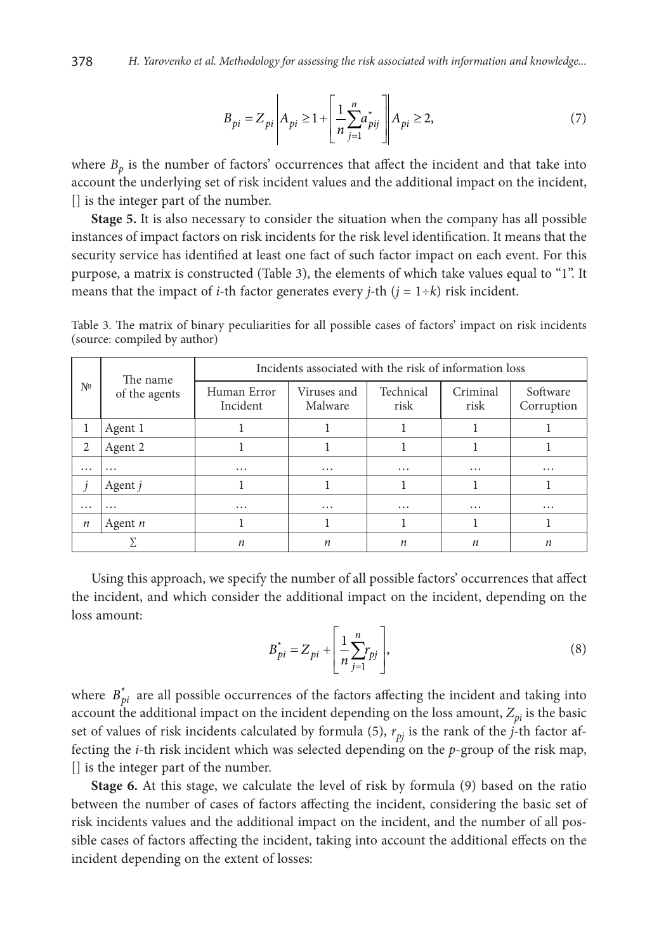$$
B_{pi} = Z_{pi} \left| A_{pi} \ge 1 + \left[ \frac{1}{n} \sum_{j=1}^{n} a_{pi} \right] \right| A_{pi} \ge 2, \tag{7}
$$

where  $B_p$  is the number of factors' occurrences that affect the incident and that take into account the underlying set of risk incident values and the additional impact on the incident, [] is the integer part of the number.

**Stage 5.** It is also necessary to consider the situation when the company has all possible instances of impact factors on risk incidents for the risk level identification. It means that the security service has identified at least one fact of such factor impact on each event. For this purpose, a matrix is constructed (Table 3), the elements of which take values equal to "1". It means that the impact of *i*-th factor generates every *j*-th  $(j = 1 \div k)$  risk incident.

| Nº               | The name<br>of the agents | Incidents associated with the risk of information loss |                        |                   |                  |                        |
|------------------|---------------------------|--------------------------------------------------------|------------------------|-------------------|------------------|------------------------|
|                  |                           | Human Error<br>Incident                                | Viruses and<br>Malware | Technical<br>risk | Criminal<br>risk | Software<br>Corruption |
| 1                | Agent 1                   |                                                        |                        |                   |                  |                        |
| 2                | Agent 2                   |                                                        |                        |                   |                  |                        |
| $\cdots$         | $\cdots$                  | $\cdots$                                               | $\cdots$               | $\cdots$          | $\cdots$         | $\cdots$               |
|                  | Agent j                   |                                                        |                        |                   |                  |                        |
| $\cdots$         | $\cdots$                  | $\cdots$                                               | $\cdots$               | $\cdots$          | $\cdots$         | $\cdots$               |
| $\boldsymbol{n}$ | Agent $n$                 |                                                        |                        |                   |                  |                        |
|                  |                           | $\boldsymbol{n}$                                       | $\boldsymbol{n}$       | n                 | $\boldsymbol{n}$ | $\boldsymbol{n}$       |

Table 3. The matrix of binary peculiarities for all possible cases of factors' impact on risk incidents (source: compiled by author)

Using this approach, we specify the number of all possible factors' occurrences that affect the incident, and which consider the additional impact on the incident, depending on the loss amount:

$$
B_{pi}^{*} = Z_{pi} + \left[\frac{1}{n} \sum_{j=1}^{n} r_{pj}\right],
$$
\n(8)

where  $B_{pi}^*$  are all possible occurrences of the factors affecting the incident and taking into account the additional impact on the incident depending on the loss amount,  $Z_{pi}$  is the basic set of values of risk incidents calculated by formula (5),  $r_{pi}$  is the rank of the  $j$ -th factor affecting the *i*-th risk incident which was selected depending on the *p*-group of the risk map, [] is the integer part of the number.

**Stage 6.** At this stage, we calculate the level of risk by formula (9) based on the ratio between the number of cases of factors affecting the incident, considering the basic set of risk incidents values and the additional impact on the incident, and the number of all possible cases of factors affecting the incident, taking into account the additional effects on the incident depending on the extent of losses: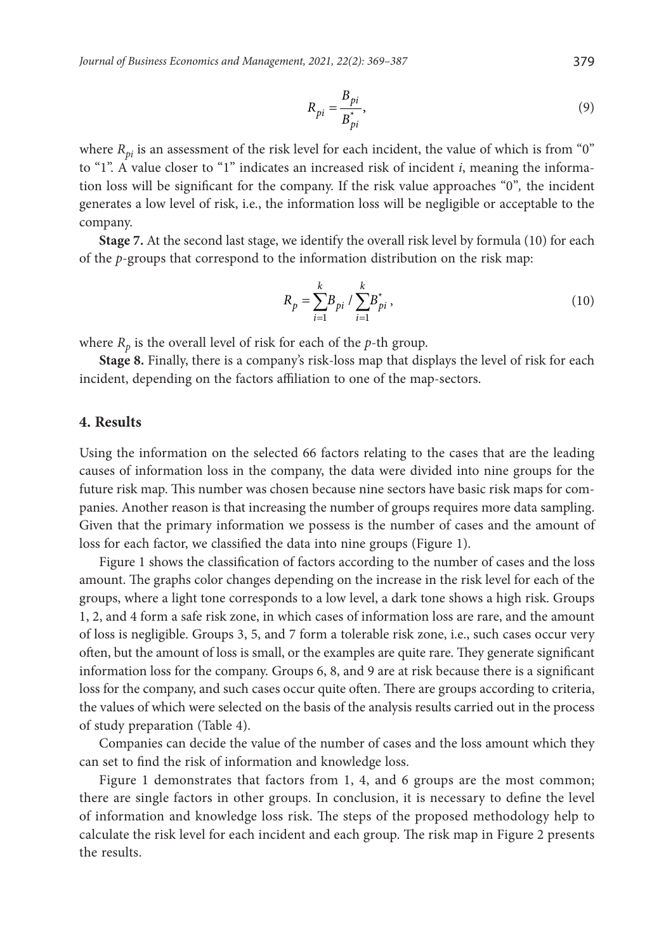$$
R_{pi} = \frac{B_{pi}}{B_{pi}^{*}},
$$
\n(9)

where  $R_{pi}$  is an assessment of the risk level for each incident, the value of which is from "0" to "1". A value closer to "1" indicates an increased risk of incident *i*, meaning the information loss will be significant for the company. If the risk value approaches "0"*,* the incident generates a low level of risk, i.e., the information loss will be negligible or acceptable to the company.

**Stage 7.** At the second last stage, we identify the overall risk level by formula (10) for each of the *p*-groups that correspond to the information distribution on the risk map:

$$
R_p = \sum_{i=1}^{k} B_{pi} / \sum_{i=1}^{k} B_{pi}^*,
$$
 (10)

where  $R_p$  is the overall level of risk for each of the  $p$ -th group.

**Stage 8.** Finally, there is a company's risk-loss map that displays the level of risk for each incident, depending on the factors affiliation to one of the map-sectors.

#### **4. Results**

Using the information on the selected 66 factors relating to the cases that are the leading causes of information loss in the company, the data were divided into nine groups for the future risk map. This number was chosen because nine sectors have basic risk maps for companies. Another reason is that increasing the number of groups requires more data sampling. Given that the primary information we possess is the number of cases and the amount of loss for each factor, we classified the data into nine groups (Figure 1).

Figure 1 shows the classification of factors according to the number of cases and the loss amount. The graphs color changes depending on the increase in the risk level for each of the groups, where a light tone corresponds to a low level, a dark tone shows a high risk. Groups 1, 2, and 4 form a safe risk zone, in which cases of information loss are rare, and the amount of loss is negligible. Groups 3, 5, and 7 form a tolerable risk zone, i.e., such cases occur very often, but the amount of loss is small, or the examples are quite rare. They generate significant information loss for the company. Groups 6, 8, and 9 are at risk because there is a significant loss for the company, and such cases occur quite often. There are groups according to criteria, the values of which were selected on the basis of the analysis results carried out in the process of study preparation (Table 4).

Companies can decide the value of the number of cases and the loss amount which they can set to find the risk of information and knowledge loss.

Figure 1 demonstrates that factors from 1, 4, and 6 groups are the most common; there are single factors in other groups. In conclusion, it is necessary to define the level of information and knowledge loss risk. The steps of the proposed methodology help to calculate the risk level for each incident and each group. The risk map in Figure 2 presents the results.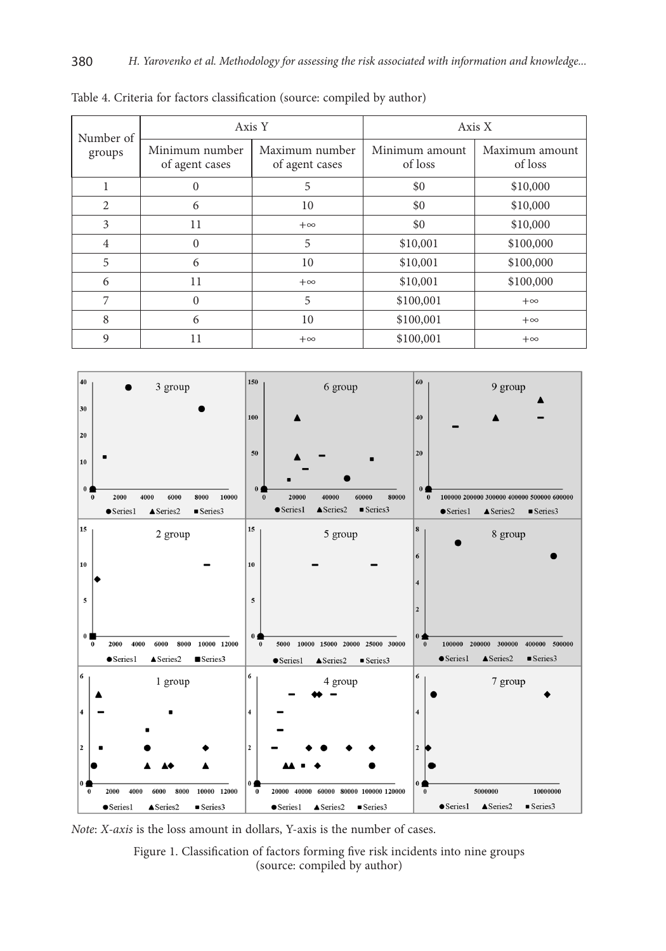| Number of      |                                  | Axis Y                           | Axis X                    |                           |  |
|----------------|----------------------------------|----------------------------------|---------------------------|---------------------------|--|
| groups         | Minimum number<br>of agent cases | Maximum number<br>of agent cases | Minimum amount<br>of loss | Maximum amount<br>of loss |  |
|                | 0                                | 5                                | \$0                       | \$10,000                  |  |
| 2              | 6                                | 10                               | \$0                       | \$10,000                  |  |
| 3              | 11                               | $+\infty$                        | \$0                       | \$10,000                  |  |
| $\overline{4}$ | 0                                | 5                                | \$10,001                  | \$100,000                 |  |
| 5              | 6                                | 10                               | \$10,001                  | \$100,000                 |  |
| 6              | 11                               | $+\infty$                        | \$10,001                  | \$100,000                 |  |
| 7              | 0                                | 5                                | \$100,001                 | $+\infty$                 |  |
| 8              | 6                                | 10                               | \$100,001                 | $+\infty$                 |  |
| 9              | 11                               | $+\infty$                        | \$100,001                 | $+\infty$                 |  |

Table 4. Criteria for factors classification (source: compiled by author)



*Note*: *X-axis* is the loss amount in dollars, Y-axis is the number of cases.

Figure 1. Classification of factors forming five risk incidents into nine groups (source: compiled by author)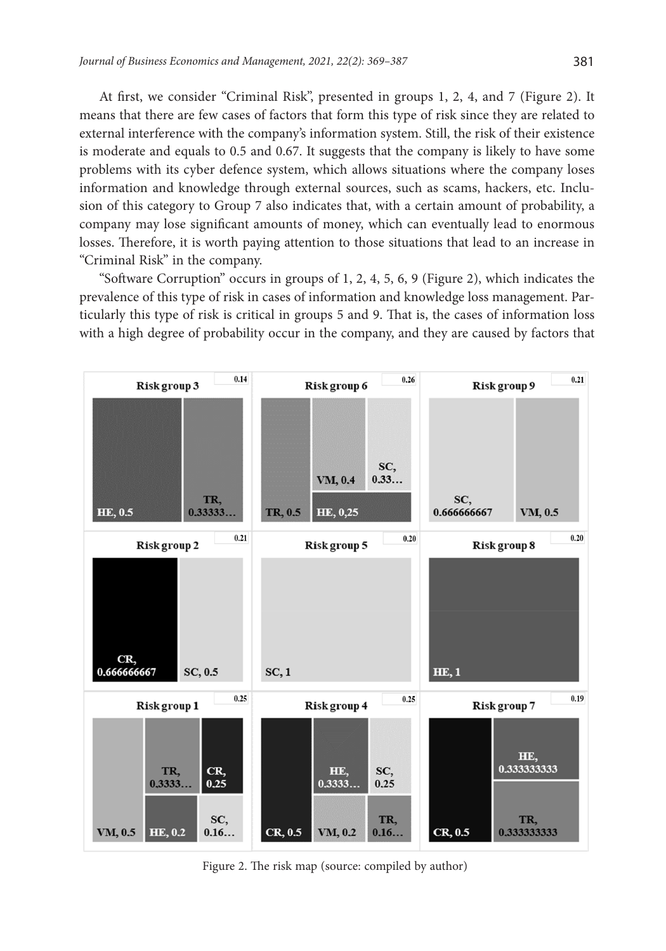At first, we consider "Criminal Risk", presented in groups 1, 2, 4, and 7 (Figure 2). It means that there are few cases of factors that form this type of risk since they are related to external interference with the company's information system. Still, the risk of their existence is moderate and equals to 0.5 and 0.67. It suggests that the company is likely to have some problems with its cyber defence system, which allows situations where the company loses information and knowledge through external sources, such as scams, hackers, etc. Inclusion of this category to Group 7 also indicates that, with a certain amount of probability, a company may lose significant amounts of money, which can eventually lead to enormous losses. Therefore, it is worth paying attention to those situations that lead to an increase in "Criminal Risk" in the company.

"Software Corruption" occurs in groups of 1, 2, 4, 5, 6, 9 (Figure 2), which indicates the prevalence of this type of risk in cases of information and knowledge loss management. Particularly this type of risk is critical in groups 5 and 9. That is, the cases of information loss with a high degree of probability occur in the company, and they are caused by factors that



Figure 2. The risk map (source: compiled by author)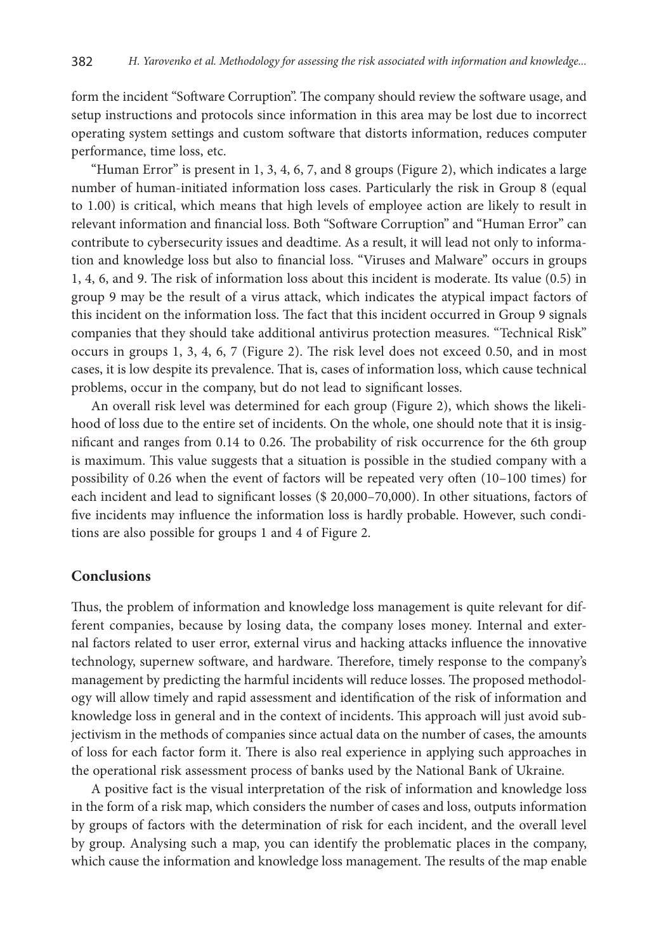form the incident "Software Corruption". The company should review the software usage, and setup instructions and protocols since information in this area may be lost due to incorrect operating system settings and custom software that distorts information, reduces computer performance, time loss, etc.

"Human Error" is present in 1, 3, 4, 6, 7, and 8 groups (Figure 2), which indicates a large number of human-initiated information loss cases. Particularly the risk in Group 8 (equal to 1.00) is critical, which means that high levels of employee action are likely to result in relevant information and financial loss. Both "Software Corruption" and "Human Error" can contribute to cybersecurity issues and deadtime. As a result, it will lead not only to information and knowledge loss but also to financial loss. "Viruses and Malware" occurs in groups 1, 4, 6, and 9. The risk of information loss about this incident is moderate. Its value (0.5) in group 9 may be the result of a virus attack, which indicates the atypical impact factors of this incident on the information loss. The fact that this incident occurred in Group 9 signals companies that they should take additional antivirus protection measures. "Technical Risk" occurs in groups 1, 3, 4, 6, 7 (Figure 2). The risk level does not exceed 0.50, and in most cases, it is low despite its prevalence. That is, cases of information loss, which cause technical problems, occur in the company, but do not lead to significant losses.

An overall risk level was determined for each group (Figure 2), which shows the likelihood of loss due to the entire set of incidents. On the whole, one should note that it is insignificant and ranges from 0.14 to 0.26. The probability of risk occurrence for the 6th group is maximum. This value suggests that a situation is possible in the studied company with a possibility of 0.26 when the event of factors will be repeated very often (10–100 times) for each incident and lead to significant losses (\$ 20,000–70,000). In other situations, factors of five incidents may influence the information loss is hardly probable. However, such conditions are also possible for groups 1 and 4 of Figure 2.

### **Conclusions**

Thus, the problem of information and knowledge loss management is quite relevant for different companies, because by losing data, the company loses money. Internal and external factors related to user error, external virus and hacking attacks influence the innovative technology, supernew software, and hardware. Therefore, timely response to the company's management by predicting the harmful incidents will reduce losses. The proposed methodology will allow timely and rapid assessment and identification of the risk of information and knowledge loss in general and in the context of incidents. This approach will just avoid subjectivism in the methods of companies since actual data on the number of cases, the amounts of loss for each factor form it. There is also real experience in applying such approaches in the operational risk assessment process of banks used by the National Bank of Ukraine.

A positive fact is the visual interpretation of the risk of information and knowledge loss in the form of a risk map, which considers the number of cases and loss, outputs information by groups of factors with the determination of risk for each incident, and the overall level by group. Analysing such a map, you can identify the problematic places in the company, which cause the information and knowledge loss management. The results of the map enable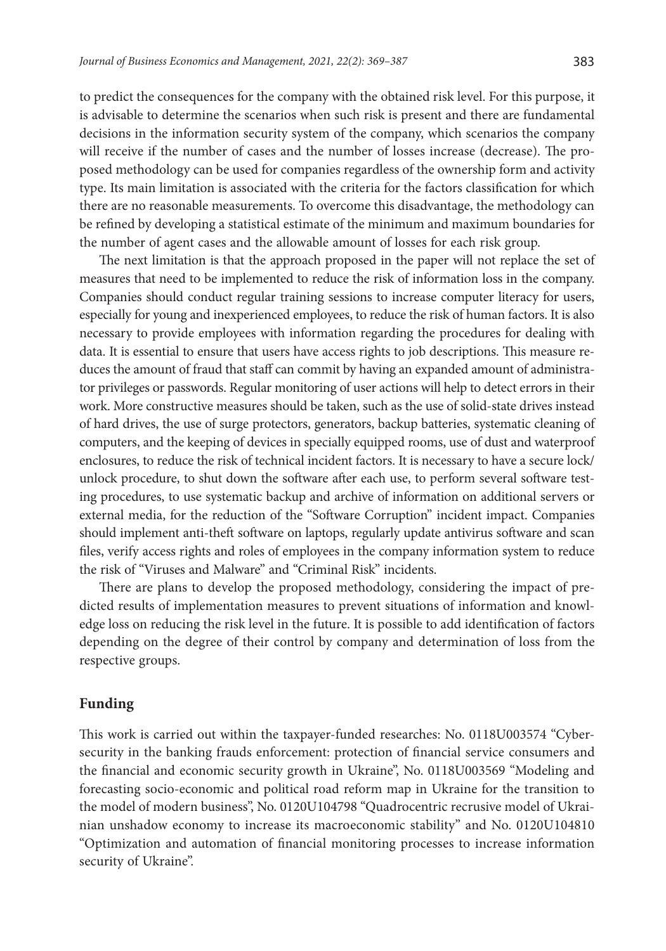to predict the consequences for the company with the obtained risk level. For this purpose, it is advisable to determine the scenarios when such risk is present and there are fundamental decisions in the information security system of the company, which scenarios the company will receive if the number of cases and the number of losses increase (decrease). The proposed methodology can be used for companies regardless of the ownership form and activity type. Its main limitation is associated with the criteria for the factors classification for which there are no reasonable measurements. To overcome this disadvantage, the methodology can be refined by developing a statistical estimate of the minimum and maximum boundaries for the number of agent cases and the allowable amount of losses for each risk group.

The next limitation is that the approach proposed in the paper will not replace the set of measures that need to be implemented to reduce the risk of information loss in the company. Companies should conduct regular training sessions to increase computer literacy for users, especially for young and inexperienced employees, to reduce the risk of human factors. It is also necessary to provide employees with information regarding the procedures for dealing with data. It is essential to ensure that users have access rights to job descriptions. This measure reduces the amount of fraud that staff can commit by having an expanded amount of administrator privileges or passwords. Regular monitoring of user actions will help to detect errors in their work. More constructive measures should be taken, such as the use of solid-state drives instead of hard drives, the use of surge protectors, generators, backup batteries, systematic cleaning of computers, and the keeping of devices in specially equipped rooms, use of dust and waterproof enclosures, to reduce the risk of technical incident factors. It is necessary to have a secure lock/ unlock procedure, to shut down the software after each use, to perform several software testing procedures, to use systematic backup and archive of information on additional servers or external media, for the reduction of the "Software Corruption" incident impact. Companies should implement anti-theft software on laptops, regularly update antivirus software and scan files, verify access rights and roles of employees in the company information system to reduce the risk of "Viruses and Malware" and "Criminal Risk" incidents.

There are plans to develop the proposed methodology, considering the impact of predicted results of implementation measures to prevent situations of information and knowledge loss on reducing the risk level in the future. It is possible to add identification of factors depending on the degree of their control by company and determination of loss from the respective groups.

### **Funding**

This work is carried out within the taxpayer-funded researches: No. 0118U003574 "Cybersecurity in the banking frauds enforcement: protection of financial service consumers and the financial and economic security growth in Ukraine", No. 0118U003569 "Modeling and forecasting socio-economic and political road reform map in Ukraine for the transition to the model of modern business", No. 0120U104798 "Quadrocentric recrusive model of Ukrainian unshadow economy to increase its macroeconomic stability" and No. 0120U104810 "Optimization and automation of financial monitoring processes to increase information security of Ukraine".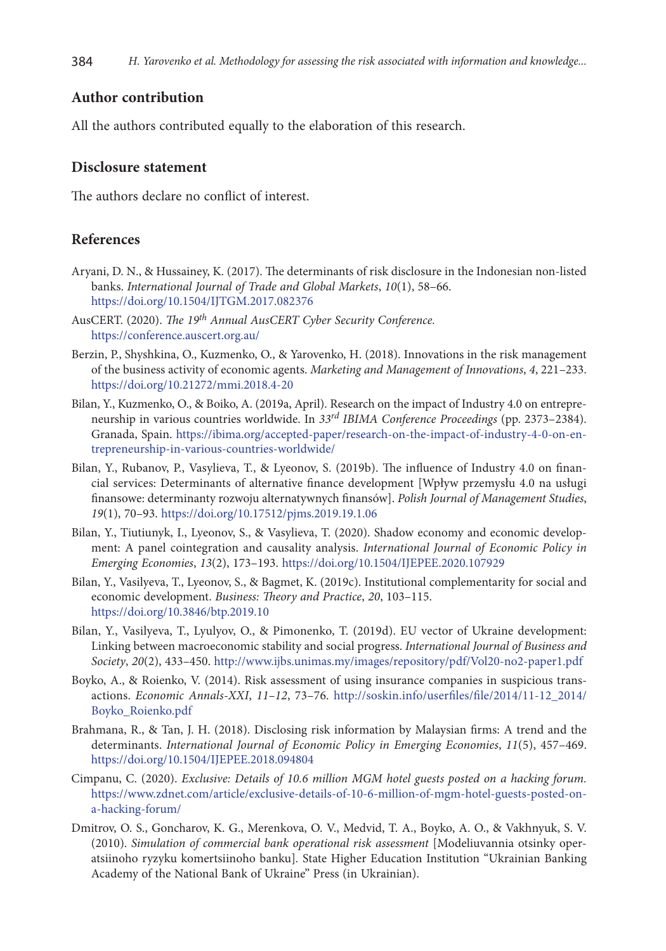# **Author contribution**

All the authors contributed equally to the elaboration of this research.

#### **Disclosure statement**

The authors declare no conflict of interest.

## **References**

- Aryani, D. N., & Hussainey, K. (2017). The determinants of risk disclosure in the Indonesian non-listed banks. *International Journal of Trade and Global Markets*, *10*(1), 58–66. <https://doi.org/10.1504/IJTGM.2017.082376>
- AusCERT. (2020). *The 19th Annual AusCERT Cyber Security Conference.*  <https://conference.auscert.org.au/>
- Berzin, P., Shyshkina, O., Kuzmenko, O., & Yarovenko, H. (2018). Innovations in the risk management of the business activity of economic agents. *Marketing and Management of Innovations*, *4*, 221–233. <https://doi.org/10.21272/mmi.2018.4-20>
- Bilan, Y., Kuzmenko, O., & Boiko, A. (2019a, April). Research on the impact of Industry 4.0 on entrepreneurship in various countries worldwide. In *33rd IBIMA Conference Proceedings* (pp. 2373–2384). Granada, Spain. [https://ibima.org/accepted-paper/research-on-the-impact-of-industry-4-0-on-en](https://ibima.org/accepted-paper/research-on-the-impact-of-industry-4-0-on-entrepreneurship-in-various-countries-worldwide/)[trepreneurship-in-various-countries-worldwide/](https://ibima.org/accepted-paper/research-on-the-impact-of-industry-4-0-on-entrepreneurship-in-various-countries-worldwide/)
- Bilan, Y., Rubanov, P., Vasylieva, T., & Lyeonov, S. (2019b). The influence of Industry 4.0 on financial services: Determinants of alternative finance development [Wpływ przemysłu 4.0 na usługi finansowe: determinanty rozwoju alternatywnych finansów]. *Polish Journal of Management Studies*, *19*(1), 70–93. <https://doi.org/10.17512/pjms.2019.19.1.06>
- Bilan, Y., Tiutiunyk, I., Lyeonov, S., & Vasylieva, T. (2020). Shadow economy and economic development: A panel cointegration and causality analysis. *International Journal of Economic Policy in Emerging Economies*, *13*(2), 173–193. <https://doi.org/10.1504/IJEPEE.2020.107929>
- Bilan, Y., Vasilyeva, T., Lyeonov, S., & Bagmet, K. (2019c). Institutional complementarity for social and economic development. *Business: Theory and Practice*, *20*, 103–115. <https://doi.org/10.3846/btp.2019.10>
- Bilan, Y., Vasilyeva, T., Lyulyov, O., & Pimonenko, T. (2019d). EU vector of Ukraine development: Linking between macroeconomic stability and social progress. *International Journal of Business and Society*, *20*(2), 433–450. http://www.ijbs.unimas.my/images/repository/pdf/Vol20-no2-paper1.pdf
- Boyko, A., & Roienko, V. (2014). Risk assessment of using insurance companies in suspicious transactions. *Economic Annals-XXI*, *11–12*, 73–76. [http://soskin.info/userfiles/file/2014/11-12\\_2014/](http://soskin.info/userfiles/file/2014/11-12_2014/Boyko_Roienko.pdf) [Boyko\\_Roienko.pdf](http://soskin.info/userfiles/file/2014/11-12_2014/Boyko_Roienko.pdf)
- Brahmana, R., & Tan, J. H. (2018). Disclosing risk information by Malaysian firms: A trend and the determinants. *International Journal of Economic Policy in Emerging Economies*, *11*(5), 457–469. <https://doi.org/10.1504/IJEPEE.2018.094804>
- Cimpanu, C. (2020). *Exclusive: Details of 10.6 million MGM hotel guests posted on a hacking forum.*  [https://www.zdnet.com/article/exclusive-details-of-10-6-million-of-mgm-hotel-guests-posted-on](https://www.zdnet.com/article/exclusive-details-of-10-6-million-of-mgm-hotel-guests-posted-on-a-hacking-forum/)[a-hacking-forum/](https://www.zdnet.com/article/exclusive-details-of-10-6-million-of-mgm-hotel-guests-posted-on-a-hacking-forum/)
- Dmitrov, O. S., Goncharov, K. G., Merenkova, O. V., Medvid, T. A., Boyko, A. O., & Vakhnyuk, S. V. (2010). *Simulation of commercial bank operational risk assessment* [Modeliuvannia otsinky operatsiinoho ryzyku komertsiinoho banku]*.* State Higher Education Institution "Ukrainian Banking Academy of the National Bank of Ukraine" Press (in Ukrainian).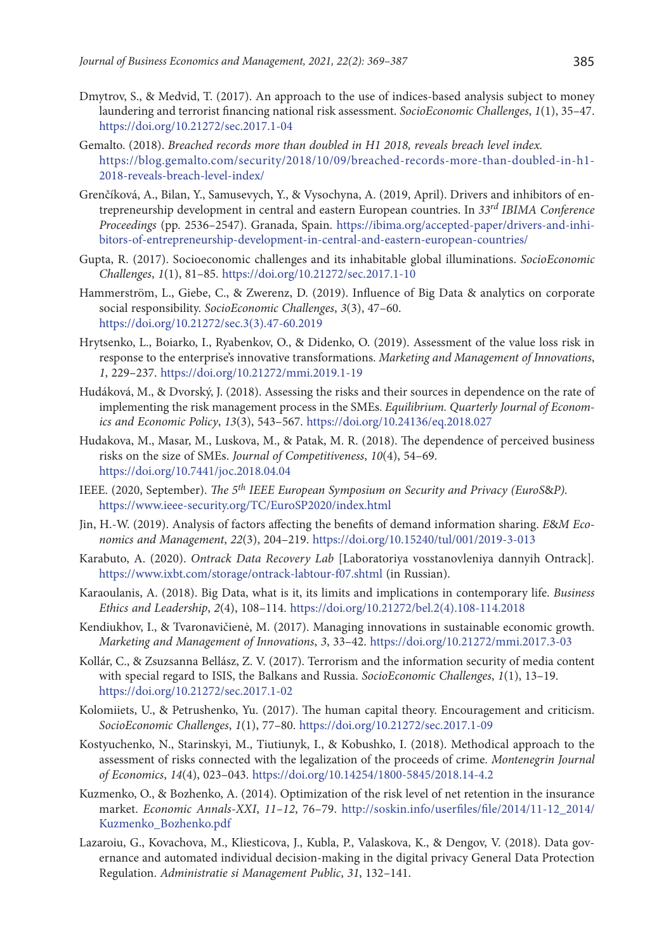- Dmytrov, S., & Medvid, T. (2017). An approach to the use of indices-based analysis subject to money laundering and terrorist financing national risk assessment. *SocioEconomic Challenges*, *1*(1), 35–47. <https://doi.org/10.21272/sec.2017.1-04>
- Gemalto. (2018). *Breached records more than doubled in H1 2018, reveals breach level index.*  [https://blog.gemalto.com/security/2018/10/09/breached-records-more-than-doubled-in-h1-](https://blog.gemalto.com/security/2018/10/09/breached-records-more-than-doubled-in-h1-2018-reveals-breach-level-index/) [2018-reveals-breach-level-index/](https://blog.gemalto.com/security/2018/10/09/breached-records-more-than-doubled-in-h1-2018-reveals-breach-level-index/)
- Grenčíková, A., Bilan, Y., Samusevych, Y., & Vysochyna, A. (2019, April). Drivers and inhibitors of entrepreneurship development in central and eastern European countries. In *33rd IBIMA Conference Proceedings* (pp. 2536–2547). Granada, Spain. [https://ibima.org/accepted-paper/drivers-and-inhi](https://ibima.org/accepted-paper/drivers-and-inhibitors-of-entrepreneurship-development-in-central-and-eastern-european-countries/)[bitors-of-entrepreneurship-development-in-central-and-eastern-european-countries/](https://ibima.org/accepted-paper/drivers-and-inhibitors-of-entrepreneurship-development-in-central-and-eastern-european-countries/)
- Gupta, R. (2017). Socioeconomic challenges and its inhabitable global illuminations. *SocioEconomic Challenges*, *1*(1), 81–85. <https://doi.org/10.21272/sec.2017.1-10>
- Hammerström, L., Giebe, C., & Zwerenz, D. (2019). Influence of Big Data & analytics on corporate social responsibility. *SocioEconomic Challenges*, *3*(3), 47–60. [https://doi.org/10.21272/sec.3\(3\).47-60.2019](https://doi.org/10.21272/sec.3(3).47-60.2019)
- Hrytsenko, L., Boiarko, I., Ryabenkov, O., & Didenko, O. (2019). Assessment of the value loss risk in response to the enterprise's innovative transformations. *Marketing and Management of Innovations*, *1*, 229–237. <https://doi.org/10.21272/mmi.2019.1-19>
- Hudáková, M., & Dvorský, J. (2018). Assessing the risks and their sources in dependence on the rate of implementing the risk management process in the SMEs. *Equilibrium. Quarterly Journal of Economics and Economic Policy*, *13*(3), 543–567. <https://doi.org/10.24136/eq.2018.027>
- Hudakova, M., Masar, M., Luskova, M., & Patak, M. R. (2018). The dependence of perceived business risks on the size of SMEs. *Journal of Competitiveness*, *10*(4), 54–69. <https://doi.org/10.7441/joc.2018.04.04>
- IEEE. (2020, September). *The 5th IEEE European Symposium on Security and Privacy (EuroS*&*P).*  https://www.ieee-security.org/TC/EuroSP2020/index.html
- Jin, H.-W. (2019). Analysis of factors affecting the benefits of demand information sharing. *E*&*M Economics and Management*, *22*(3), 204–219. <https://doi.org/10.15240/tul/001/2019-3-013>
- Karabuto, A. (2020). *Ontrack Data Recovery Lab* [Laboratoriya vosstanovleniya dannyih Ontrack]*.*  <https://www.ixbt.com/storage/ontrack-labtour-f07.shtml>(in Russian).
- Karaoulanis, A. (2018). Big Data, what is it, its limits and implications in contemporary life. *Business Ethics and Leadership*, *2*(4), 108–114. [https://doi.org/10.21272/bel.2\(4\).108-114.2018](https://doi.org/10.21272/bel.2(4).108-114.2018)
- Kendiukhov, I., & Tvaronavičienė, M. (2017). Managing innovations in sustainable economic growth. *Marketing and Management of Innovations*, *3*, 33–42. <https://doi.org/10.21272/mmi.2017.3-03>
- Kollár, C., & Zsuzsanna Bellász, Z. V. (2017). Terrorism and the information security of media content with special regard to ISIS, the Balkans and Russia. *SocioEconomic Challenges*, *1*(1), 13–19. <https://doi.org/10.21272/sec.2017.1-02>
- Kolomiiets, U., & Petrushenko, Yu. (2017). The human capital theory. Encouragement and criticism. *SocioEconomic Challenges*, *1*(1), 77–80. <https://doi.org/10.21272/sec.2017.1-09>
- Kostyuchenko, N., Starinskyi, М., Tiutiunyk, I., & Kobushko, I. (2018). Methodical approach to the assessment of risks connected with the legalization of the proceeds of crime. *Montenegrin Journal of Economics*, *14*(4), 023–043. <https://doi.org/10.14254/1800-5845/2018.14-4.2>
- Kuzmenko, O., & Bozhenko, A. (2014). Optimization of the risk level of net retention in the insurance market. *Economic Annals-XXI*, *11–12*, 76–79. [http://soskin.info/userfiles/file/2014/11-12\\_2014/](http://soskin.info/userfiles/file/2014/11-12_2014/Kuzmenko_Bozhenko.pdf) [Kuzmenko\\_Bozhenko.pdf](http://soskin.info/userfiles/file/2014/11-12_2014/Kuzmenko_Bozhenko.pdf)
- Lazaroiu, G., Kovachova, M., Kliesticova, J., Kubla, P., Valaskova, K., & Dengov, V. (2018). Data governance and automated individual decision-making in the digital privacy General Data Protection Regulation. *Administratie si Management Public*, *31*, 132–141.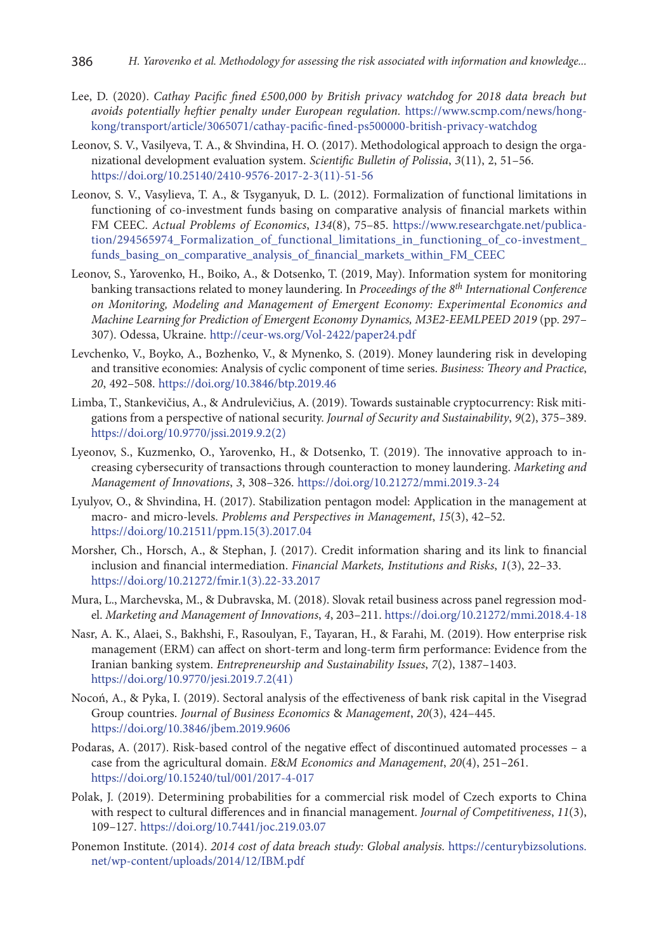- Lee, D. (2020). *Cathay Pacific fined £500,000 by British privacy watchdog for 2018 data breach but avoids potentially heftier penalty under European regulation.* [https://www.scmp.com/news/hong](https://www.scmp.com/news/hong-kong/transport/article/3065071/cathay-pacific-fined-ps500000-british-privacy-watchdog)[kong/transport/article/3065071/cathay-pacific-fined-ps500000-british-privacy-watchdog](https://www.scmp.com/news/hong-kong/transport/article/3065071/cathay-pacific-fined-ps500000-british-privacy-watchdog)
- Leonov, S. V., Vasilyeva, T. A., & Shvindina, H. O. (2017). Methodological approach to design the organizational development evaluation system. *Scientific Bulletin of Polissia*, *3*(11), 2, 51–56. [https://doi.org/10.25140/2410-9576-2017-2-3\(11\)-51-56](https://doi.org/10.25140/2410-9576-2017-2-3(11)-51-56)
- Leonov, S. V., Vasylieva, T. A., & Tsyganyuk, D. L. (2012). Formalization of functional limitations in functioning of co-investment funds basing on comparative analysis of financial markets within FM CEEC. *Actual Problems of Economics*, *134*(8), 75–85. [https://www.researchgate.net/publica](https://www.researchgate.net/publication/294565974_Formalization_of_functional_limitations_in_functioning_of_co-investment_funds_basing_on_comparative_analysis_of_financial_markets_within_FM_CEEC)[tion/294565974\\_Formalization\\_of\\_functional\\_limitations\\_in\\_functioning\\_of\\_co-investment\\_](https://www.researchgate.net/publication/294565974_Formalization_of_functional_limitations_in_functioning_of_co-investment_funds_basing_on_comparative_analysis_of_financial_markets_within_FM_CEEC) [funds\\_basing\\_on\\_comparative\\_analysis\\_of\\_financial\\_markets\\_within\\_FM\\_CEEC](https://www.researchgate.net/publication/294565974_Formalization_of_functional_limitations_in_functioning_of_co-investment_funds_basing_on_comparative_analysis_of_financial_markets_within_FM_CEEC)
- Leonov, S., Yarovenko, H., Boiko, A., & Dotsenko, T. (2019, May). Information system for monitoring banking transactions related to money laundering. In *Proceedings of the 8th International Conference on Monitoring, Modeling and Management of Emergent Economy: Experimental Economics and Machine Learning for Prediction of Emergent Economy Dynamics, M3E2-EEMLPEED 2019* (pp. 297– 307). Odessa, Ukraine. <http://ceur-ws.org/Vol-2422/paper24.pdf>
- Levchenko, V., Boyko, A., Bozhenko, V., & Mynenko, S. (2019). Money laundering risk in developing and transitive economies: Analysis of cyclic component of time series. *Business: Theory and Practice*, *20*, 492–508. <https://doi.org/10.3846/btp.2019.46>
- Limba, T., Stankevičius, A., & Andrulevičius, A. (2019). Towards sustainable cryptocurrency: Risk mitigations from a perspective of national security. *Journal of Security and Sustainability*, *9*(2), 375–389. [https://doi.org/10.9770/jssi.2019.9.2\(2\)](https://doi.org/10.9770/jssi.2019.9.2(2))
- Lyeonov, S., Kuzmenko, O., Yarovenko, H., & Dotsenko, T. (2019). The innovative approach to increasing cybersecurity of transactions through counteraction to money laundering. *Marketing and Management of Innovations*, *3*, 308–326. <https://doi.org/10.21272/mmi.2019.3-24>
- Lyulyov, O., & Shvindina, H. (2017). Stabilization pentagon model: Application in the management at macro- and micro-levels. *Problems and Perspectives in Management*, *15*(3), 42–52. [https://doi.org/10.21511/ppm.15\(3\).2017.04](https://doi.org/10.21511/ppm.15(3).2017.04)
- Morsher, Ch., Horsch, A., & Stephan, J. (2017). Credit information sharing and its link to financial inclusion and financial intermediation. *Financial Markets, Institutions and Risks*, *1*(3), 22–33. [https://doi.org/10.21272/fmir.1\(3\).22-33.2017](https://doi.org/10.21272/fmir.1(3).22-33.2017)
- Mura, L., Marchevska, M., & Dubravska, M. (2018). Slovak retail business across panel regression model. *Marketing and Management of Innovations*, *4*, 203–211.<https://doi.org/10.21272/mmi.2018.4-18>
- Nasr, A. K., Alaei, S., Bakhshi, F., Rasoulyan, F., Tayaran, H., & Farahi, M. (2019). How enterprise risk management (ERM) can affect on short-term and long-term firm performance: Evidence from the Iranian banking system. *Entrepreneurship and Sustainability Issues*, *7*(2), 1387–1403. [https://doi.org/10.9770/jesi.2019.7.2\(41\)](https://doi.org/10.9770/jesi.2019.7.2(41))
- Nocoń, A., & Pyka, I. (2019). Sectoral analysis of the effectiveness of bank risk capital in the Visegrad Group countries. *Journal of Business Economics* & *Management*, *20*(3), 424–445. <https://doi.org/10.3846/jbem.2019.9606>
- Podaras, A. (2017). Risk-based control of the negative effect of discontinued automated processes a case from the agricultural domain. *E*&*M Economics and Management*, *20*(4), 251–261. <https://doi.org/10.15240/tul/001/2017-4-017>
- Polak, J. (2019). Determining probabilities for a commercial risk model of Czech exports to China with respect to cultural differences and in financial management. *Journal of Competitiveness*, *11*(3), 109–127. <https://doi.org/10.7441/joc.219.03.07>
- Ponemon Institute. (2014). *2014 cost of data breach study: Global analysis.* [https://centurybizsolutions.](https://centurybizsolutions.net/wp-content/uploads/2014/12/IBM.pdf) [net/wp-content/uploads/2014/12/IBM.pdf](https://centurybizsolutions.net/wp-content/uploads/2014/12/IBM.pdf)